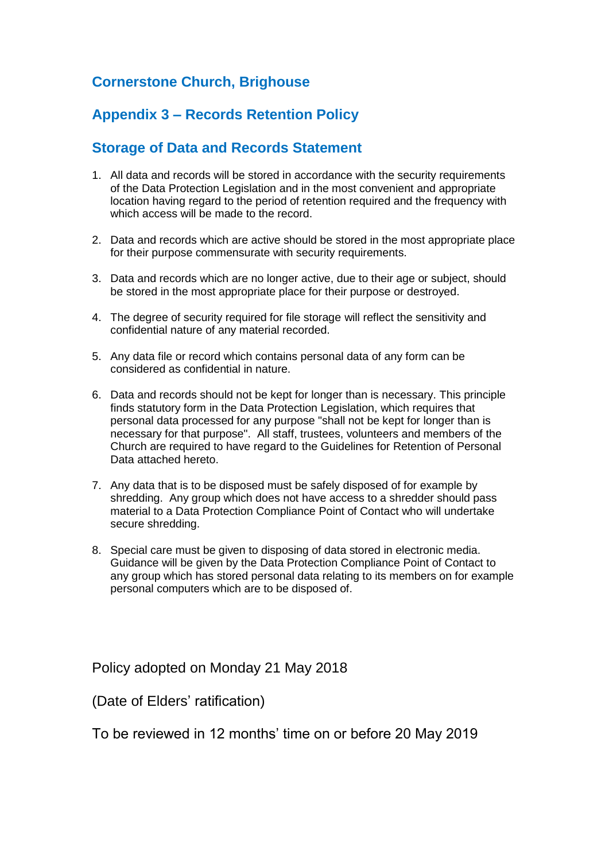# **Cornerstone Church, Brighouse**

# **Appendix 3 – Records Retention Policy**

## **Storage of Data and Records Statement**

- 1. All data and records will be stored in accordance with the security requirements of the Data Protection Legislation and in the most convenient and appropriate location having regard to the period of retention required and the frequency with which access will be made to the record.
- 2. Data and records which are active should be stored in the most appropriate place for their purpose commensurate with security requirements.
- 3. Data and records which are no longer active, due to their age or subject, should be stored in the most appropriate place for their purpose or destroyed.
- 4. The degree of security required for file storage will reflect the sensitivity and confidential nature of any material recorded.
- 5. Any data file or record which contains personal data of any form can be considered as confidential in nature.
- 6. Data and records should not be kept for longer than is necessary. This principle finds statutory form in the Data Protection Legislation, which requires that personal data processed for any purpose "shall not be kept for longer than is necessary for that purpose". All staff, trustees, volunteers and members of the Church are required to have regard to the Guidelines for Retention of Personal Data attached hereto.
- 7. Any data that is to be disposed must be safely disposed of for example by shredding. Any group which does not have access to a shredder should pass material to a Data Protection Compliance Point of Contact who will undertake secure shredding.
- 8. Special care must be given to disposing of data stored in electronic media. Guidance will be given by the Data Protection Compliance Point of Contact to any group which has stored personal data relating to its members on for example personal computers which are to be disposed of.

Policy adopted on Monday 21 May 2018

(Date of Elders' ratification)

To be reviewed in 12 months' time on or before 20 May 2019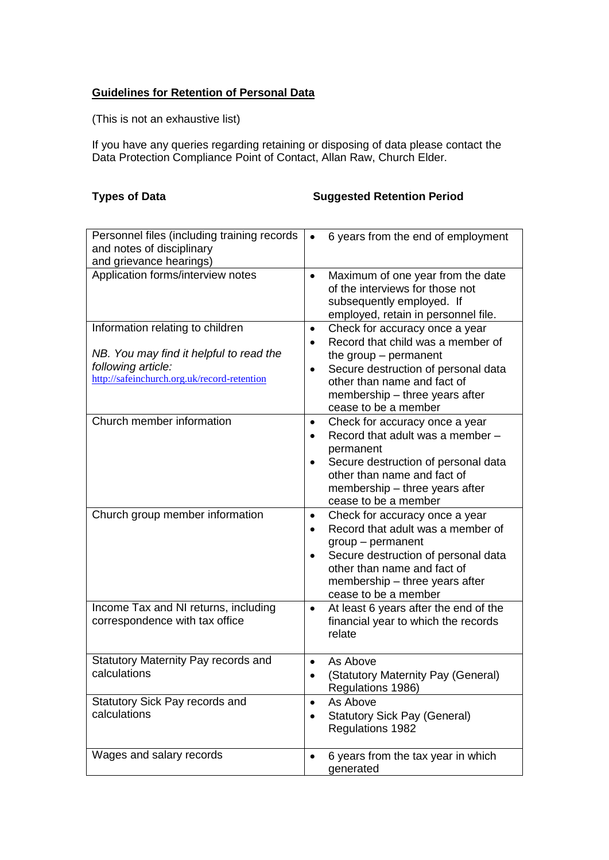#### **Guidelines for Retention of Personal Data**

(This is not an exhaustive list)

If you have any queries regarding retaining or disposing of data please contact the Data Protection Compliance Point of Contact, Allan Raw, Church Elder.

### **Types of Data Suggested Retention Period**

| Personnel files (including training records<br>and notes of disciplinary                                                                         | 6 years from the end of employment<br>$\bullet$                                                                                                                                                                                                                       |
|--------------------------------------------------------------------------------------------------------------------------------------------------|-----------------------------------------------------------------------------------------------------------------------------------------------------------------------------------------------------------------------------------------------------------------------|
| and grievance hearings)                                                                                                                          |                                                                                                                                                                                                                                                                       |
| Application forms/interview notes                                                                                                                | Maximum of one year from the date<br>$\bullet$<br>of the interviews for those not<br>subsequently employed. If<br>employed, retain in personnel file.                                                                                                                 |
| Information relating to children<br>NB. You may find it helpful to read the<br>following article:<br>http://safeinchurch.org.uk/record-retention | Check for accuracy once a year<br>$\bullet$<br>Record that child was a member of<br>$\bullet$<br>the group $-$ permanent<br>Secure destruction of personal data<br>$\bullet$<br>other than name and fact of<br>membership – three years after<br>cease to be a member |
| Church member information                                                                                                                        | Check for accuracy once a year<br>$\bullet$<br>Record that adult was a member -<br>permanent<br>Secure destruction of personal data<br>$\bullet$<br>other than name and fact of<br>membership - three years after<br>cease to be a member                             |
| Church group member information                                                                                                                  | Check for accuracy once a year<br>$\bullet$<br>Record that adult was a member of<br>group - permanent<br>Secure destruction of personal data<br>$\bullet$<br>other than name and fact of<br>membership - three years after<br>cease to be a member                    |
| Income Tax and NI returns, including<br>correspondence with tax office                                                                           | At least 6 years after the end of the<br>٠<br>financial year to which the records<br>relate                                                                                                                                                                           |
| Statutory Maternity Pay records and<br>calculations                                                                                              | As Above<br>$\bullet$<br>(Statutory Maternity Pay (General)<br>Regulations 1986)                                                                                                                                                                                      |
| Statutory Sick Pay records and<br>calculations                                                                                                   | As Above<br>$\bullet$<br><b>Statutory Sick Pay (General)</b><br>$\bullet$<br>Regulations 1982                                                                                                                                                                         |
| Wages and salary records                                                                                                                         | 6 years from the tax year in which<br>$\bullet$<br>generated                                                                                                                                                                                                          |